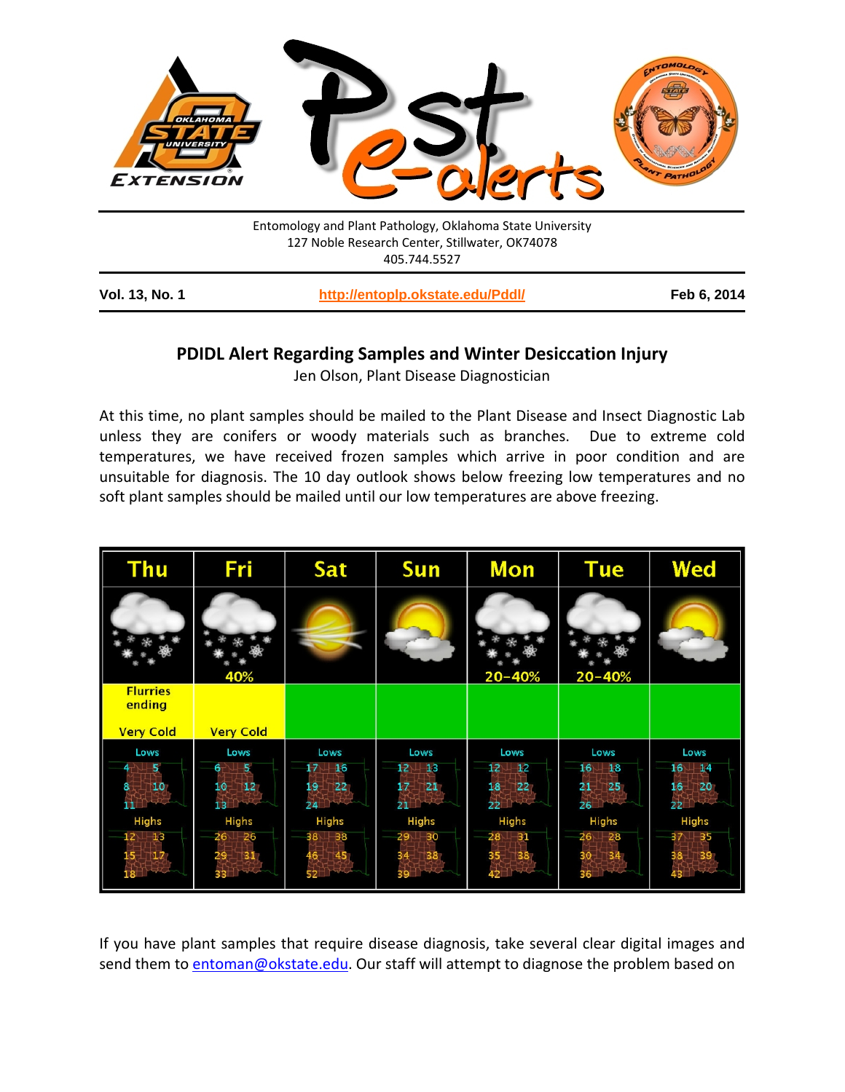

## **PDIDL Alert Regarding Samples and Winter Desiccation Injury**

Jen Olson, Plant Disease Diagnostician

At this time, no plant samples should be mailed to the Plant Disease and Insect Diagnostic Lab unless they are conifers or woody materials such as branches. Due to extreme cold temperatures, we have received frozen samples which arrive in poor condition and are unsuitable for diagnosis. The 10 day outlook shows below freezing low temperatures and no soft plant samples should be mailed until our low temperatures are above freezing.

| <b>Thu</b>                                    | Fri                                            | Sat                                             | <b>Sun</b>                              | <b>Mon</b>                                                | <b>Tue</b>                                         | Wed                                                   |
|-----------------------------------------------|------------------------------------------------|-------------------------------------------------|-----------------------------------------|-----------------------------------------------------------|----------------------------------------------------|-------------------------------------------------------|
|                                               | 40%                                            |                                                 |                                         | $20 - 40%$                                                | $20 - 40%$                                         |                                                       |
| <b>Flurries</b><br>ending<br><b>Very Cold</b> | <b>Very Cold</b>                               |                                                 |                                         |                                                           |                                                    |                                                       |
| Lows<br>-5<br>10                              | Lows<br>5<br>6.<br>12 <sub>1</sub><br>10<br>13 | Lows<br>16<br>17<br>19<br>22 <sub>1</sub><br>24 | Lows<br>$_{13}$<br>12<br>21<br>17<br>21 | Lows<br>12<br>$\overline{12}$<br>18<br>$ 22\rangle$<br>22 | Lows<br>16<br>$-18$<br>21<br>25 <sub>2</sub><br>26 | Lows<br>16<br>$\Box$ 4<br>16 <sub>2</sub><br>20<br>22 |
| Highs<br>$_{13}$<br>$\mathbf{17}$             | Highs<br>26<br>26<br>31                        | <b>Highs</b><br>38<br>38<br>45                  | Highs<br>30<br>29<br>38                 | Highs<br>$28^{\circ}$<br>$-31$<br>†38                     | <b>Highs</b><br>26<br>28<br>34 <sub>1</sub>        | Highs<br>35<br>39                                     |

If you have plant samples that require disease diagnosis, take several clear digital images and send them to [entoman@okstate.edu.](mailto:entoman@okstate.edu) Our staff will attempt to diagnose the problem based on